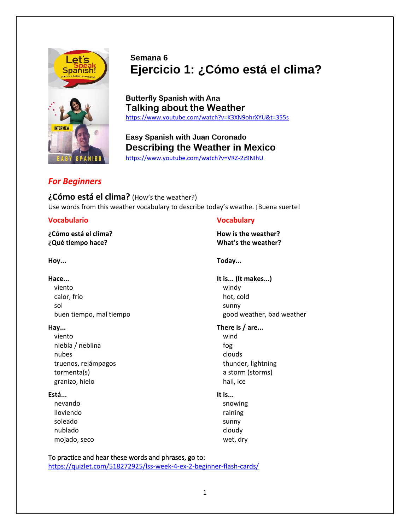

# **Semana 6 Ejercicio 1: ¿Cómo está el clima?**

**Butterfly Spanish with Ana Talking about the Weather** <https://www.youtube.com/watch?v=K3XN9ohrXYU&t=355s>

**Easy Spanish with Juan Coronado Describing the Weather in Mexico** <https://www.youtube.com/watch?v=VRZ-2z9NIhU>

# *For Beginners*

**¿Cómo está el clima?** (How's the weather?) Use words from this weather vocabulary to describe today's weathe. ¡Buena suerte!

# **Vocabulario Vocabulary**

**¿Cómo está el clima? How is the weather? ¿Qué tiempo hace? What's the weather?**

viento windy calor, frío hot, cold sol and the sunny sunny sunny sunny sunny sunny sunny sunny sunny sunny sunny sunny sunny sunny sunny sunny su

viento wind niebla / neblina fog nubes and the control of the control of the clouds of the clouds of the clouds of the clouds of the clouds of the clouds of the clouds of the clouds of the clouds of the clouds of the clouds of the clouds of the clouds of truenos, relámpagos thunder, lightning tormenta(s) a storm (storms) granizo, hielo hail, ice

## **Está... It is...**

nevando **statuta a seu alternativo e a seu alternativo e seu alternativo e snowing** lloviendo raining soleado sunny sunny sunny sunny sunny sunny sunny sunny sunny sunny sunny sunny sunny sunny sunny sunny sunny nublado cloudy cloudy cloudy cloudy mojado, seco wet, dry

**Hoy... Today...**

**Hace... It is... (It makes...)** buen tiempo, mal tiempo entity of the state of the good weather, bad weather

**Hay... There is / are...**

To practice and hear these words and phrases, go to: <https://quizlet.com/518272925/lss-week-4-ex-2-beginner-flash-cards/>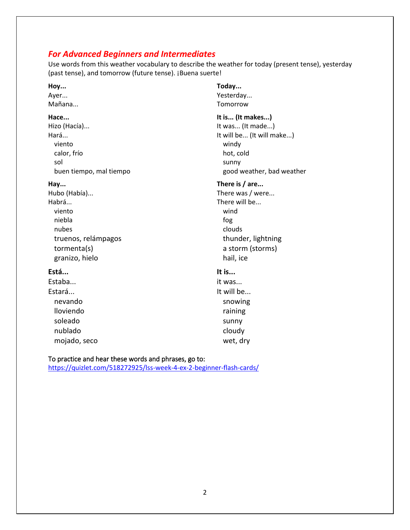# *For Advanced Beginners and Intermediates*

Use words from this weather vocabulary to describe the weather for today (present tense), yesterday (past tense), and tomorrow (future tense). ¡Buena suerte!

**Hoy... Today...** Ayer... Ayer... Mañana... Tomorrow **Hace... It is... (It makes...)** Hizo (Hacía)... **In the Community Community** Here is a local extended in the Unit Was... (It made...) viento windy calor, frío hot, cold sol and the sunny sunny sunny sunny sunny sunny sunny sunny sunny sunny sunny sunny sunny sunny sunny sunny su

Habrá...<br>
There will be... viento wind niebla fog nubes and the contract of the contract of the clouds of the clouds of the clouds of the clouds of the clouds o truenos, relámpagos thunder, lightning tormenta(s) a storm (storms) granizo, hielo hail, ice

### **Está... It is...**

Estaba... **it was...** Estará... nevando snowing snowing lloviendo raining soleado sunny sunny sunny sunny sunny sunny sunny sunny sunny sunny sunny sunny sunny sunny sunny sunny sunny  $\sim$ nublado cloudy cloudy

Hará... **In the case of the Community Community** Hará... (It will make...) buen tiempo, mal tiempo entity and the settlem and the settlem and the settlem and the settlem and the settlem s Hay... **Hay... Hay... Hay... Hay... Hay... Hay... Hay... Hay... Hay... Hay... Hay... Hay... Hay... Hay... Hay... Hay... Hay... Hay... Hay... Hay... Hay... Hay... Hay... Hay...** Hubo (Había)... There was / were...

mojado, seco wet, dry

### To practice and hear these words and phrases, go to:

<https://quizlet.com/518272925/lss-week-4-ex-2-beginner-flash-cards/>